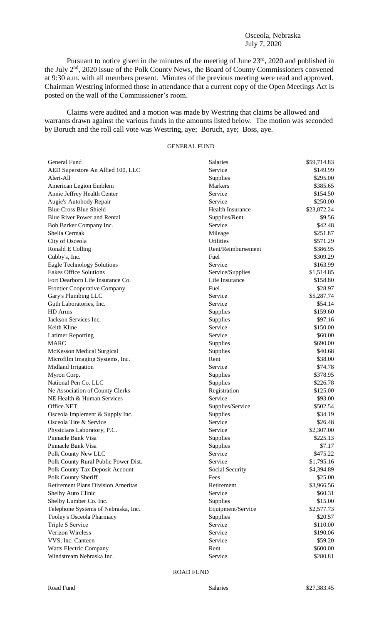## Osceola, Nebraska July 7, 2020

Pursuant to notice given in the minutes of the meeting of June 23<sup>rd</sup>, 2020 and published in the July 2<sup>nd</sup>, 2020 issue of the Polk County News, the Board of County Commissioners convened at 9:30 a.m. with all members present. Minutes of the previous meeting were read and approved. Chairman Westring informed those in attendance that a current copy of the Open Meetings Act is posted on the wall of the Commissioner's room.

Claims were audited and a motion was made by Westring that claims be allowed and warrants drawn against the various funds in the amounts listed below. The motion was seconded by Boruch and the roll call vote was Westring, aye; Boruch, aye; Boss, aye.

## GENERAL FUND

| General Fund                              | Salaries           | \$59,714.83 |
|-------------------------------------------|--------------------|-------------|
| AED Superstore An Allied 100, LLC         | Service            | \$149.99    |
| Alert-All                                 | Supplies           | \$295.00    |
| American Legion Emblem                    | Markers            | \$385.65    |
| Annie Jeffrey Health Center               | Service            | \$154.50    |
| Augie's Autobody Repair                   | Service            | \$250.00    |
| <b>Blue Cross Blue Shield</b>             | Health Insurance   | \$23,872.24 |
| <b>Blue River Power and Rental</b>        | Supplies/Rent      | \$9.56      |
| Bob Barker Company Inc.                   | Service            | \$42.48     |
| Shelia Cermak                             | Mileage            | \$251.87    |
| City of Osceola                           | Utilities          | \$571.29    |
| Ronald E Colling                          | Rent/Reimbursement | \$386.95    |
| Cubby's, Inc.                             | Fuel               | \$309.29    |
| <b>Eagle Technology Solutions</b>         | Service            | \$163.99    |
| <b>Eakes Office Solutions</b>             | Service/Supplies   | \$1,514.85  |
| Fort Dearborn Life Insurance Co.          | Life Insurance     | \$158.80    |
| Frontier Cooperative Company              | Fuel               | \$28.97     |
| Gary's Plumbing LLC                       | Service            | \$5,287.74  |
| Guth Laboratories, Inc.                   | Service            | \$54.14     |
| HD Arms                                   | Supplies           | \$159.60    |
| Jackson Services Inc.                     | Supplies           | \$97.16     |
| Keith Kline                               | Service            | \$150.00    |
| <b>Latimer Reporting</b>                  | Service            | \$60.00     |
| <b>MARC</b>                               | Supplies           | \$690.00    |
| <b>McKesson Medical Surgical</b>          | Supplies           | \$40.68     |
| Microfilm Imaging Systems, Inc.           | Rent               | \$38.00     |
| Midland Irrigation                        | Service            | \$74.78     |
| Myron Corp.                               | Supplies           | \$378.95    |
| National Pen Co. LLC                      | Supplies           | \$226.78    |
| Ne Association of County Clerks           | Registration       | \$125.00    |
| NE Health & Human Services                | Service            | \$93.00     |
| Office.NET                                | Supplies/Service   | \$502.54    |
| Osceola Implement & Supply Inc.           | Supplies           | \$34.19     |
| Osceola Tire & Service                    | Service            | \$26.48     |
| Physicians Laboratory, P.C.               | Service            | \$2,307.00  |
| Pinnacle Bank Visa                        | Supplies           | \$225.13    |
| Pinnacle Bank Visa                        | Supplies           | \$7.17      |
| Polk County New LLC                       | Service            | \$475.22    |
| Polk County Rural Public Power Dist.      | Service            | \$1,795.16  |
| Polk County Tax Deposit Account           | Social Security    | \$4,394.89  |
| Polk County Sheriff                       | Fees               | \$25.00     |
| <b>Retirement Plans Division Ameritas</b> | Retirement         | \$3,966.56  |
| Shelby Auto Clinic                        | Service            | \$60.31     |
| Shelby Lumber Co. Inc.                    | Supplies           | \$15.00     |
| Telephone Systems of Nebraska, Inc.       | Equipment/Service  | \$2,577.73  |
| Tooley's Osceola Pharmacy                 | Supplies           | \$20.57     |
| Triple S Service                          | Service            | \$110.00    |
| Verizon Wireless                          | Service            | \$190.06    |
| VVS, Inc. Canteen                         | Service            | \$59.20     |
| Watts Electric Company                    | Rent               | \$600.00    |
| Windstream Nebraska Inc.                  | Service            | \$280.81    |
|                                           |                    |             |

ROAD FUND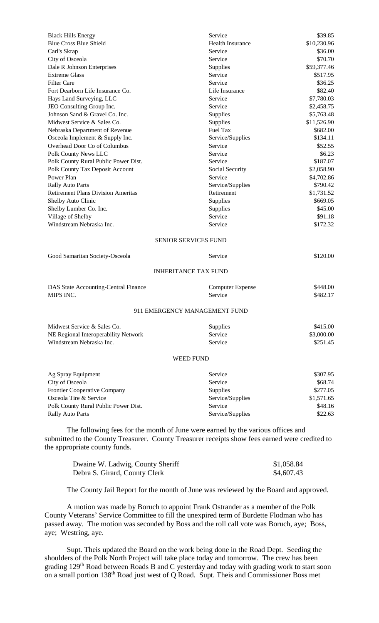| <b>Black Hills Energy</b>                                                                                                       | Service                     | \$39.85     |  |  |
|---------------------------------------------------------------------------------------------------------------------------------|-----------------------------|-------------|--|--|
| <b>Blue Cross Blue Shield</b>                                                                                                   | <b>Health Insurance</b>     | \$10,230.96 |  |  |
| Carl's Skrap                                                                                                                    | Service                     | \$36.00     |  |  |
| City of Osceola                                                                                                                 | Service                     | \$70.70     |  |  |
| Dale R Johnson Enterprises                                                                                                      | Supplies                    | \$59,377.46 |  |  |
| <b>Extreme Glass</b>                                                                                                            | Service                     | \$517.95    |  |  |
| <b>Filter Care</b>                                                                                                              | Service                     | \$36.25     |  |  |
| Fort Dearborn Life Insurance Co.                                                                                                | Life Insurance              | \$82.40     |  |  |
| Hays Land Surveying, LLC                                                                                                        | Service                     | \$7,780.03  |  |  |
| JEO Consulting Group Inc.                                                                                                       | Service                     | \$2,458.75  |  |  |
| Johnson Sand & Gravel Co. Inc.                                                                                                  | Supplies                    | \$5,763.48  |  |  |
| Midwest Service & Sales Co.                                                                                                     | Supplies                    | \$11,526.90 |  |  |
| Nebraska Department of Revenue                                                                                                  | Fuel Tax                    | \$682.00    |  |  |
| Osceola Implement & Supply Inc.                                                                                                 | Service/Supplies            | \$134.11    |  |  |
| Overhead Door Co of Columbus                                                                                                    | Service                     | \$52.55     |  |  |
| Polk County News LLC                                                                                                            | Service                     | \$6.23      |  |  |
| Polk County Rural Public Power Dist.                                                                                            | Service                     | \$187.07    |  |  |
| Polk County Tax Deposit Account                                                                                                 | Social Security             | \$2,058.90  |  |  |
| Power Plan                                                                                                                      | Service                     | \$4,702.86  |  |  |
| Rally Auto Parts                                                                                                                | Service/Supplies            | \$790.42    |  |  |
| <b>Retirement Plans Division Ameritas</b>                                                                                       | Retirement                  | \$1,731.52  |  |  |
| Shelby Auto Clinic                                                                                                              | Supplies                    | \$669.05    |  |  |
| Shelby Lumber Co. Inc.                                                                                                          | Supplies                    | \$45.00     |  |  |
| Village of Shelby                                                                                                               | Service                     | \$91.18     |  |  |
| Windstream Nebraska Inc.                                                                                                        | Service                     | \$172.32    |  |  |
|                                                                                                                                 |                             |             |  |  |
| SENIOR SERVICES FUND                                                                                                            |                             |             |  |  |
| Good Samaritan Society-Osceola                                                                                                  | Service                     | \$120.00    |  |  |
|                                                                                                                                 | <b>INHERITANCE TAX FUND</b> |             |  |  |
| DAS State Accounting-Central Finance                                                                                            | <b>Computer Expense</b>     | \$448.00    |  |  |
| MIPS INC.                                                                                                                       | Service                     | \$482.17    |  |  |
|                                                                                                                                 |                             |             |  |  |
| 911 EMERGENCY MANAGEMENT FUND                                                                                                   |                             |             |  |  |
| Midwest Service & Sales Co.                                                                                                     | Supplies                    | \$415.00    |  |  |
| NE Regional Interoperability Network                                                                                            | Service                     | \$3,000.00  |  |  |
| Windstream Nebraska Inc.                                                                                                        | Service                     | \$251.45    |  |  |
|                                                                                                                                 |                             |             |  |  |
|                                                                                                                                 | <b>WEED FUND</b>            |             |  |  |
| Ag Spray Equipment                                                                                                              | Service                     | \$307.95    |  |  |
| City of Osceola                                                                                                                 | Service                     | \$68.74     |  |  |
| Frontier Cooperative Company                                                                                                    | Supplies                    | \$277.05    |  |  |
| Osceola Tire & Service                                                                                                          | Service/Supplies            | \$1,571.65  |  |  |
| Polk County Rural Public Power Dist.                                                                                            | Service                     | \$48.16     |  |  |
| Rally Auto Parts                                                                                                                | Service/Supplies            | \$22.63     |  |  |
|                                                                                                                                 |                             |             |  |  |
| The following fees for the month of June were earned by the various offices and                                                 |                             |             |  |  |
| submitted to the County Treasurer. County Treasurer receipts show fees earned were credited to<br>the appropriate county funds. |                             |             |  |  |

| Dwaine W. Ladwig, County Sheriff | \$1,058.84 |
|----------------------------------|------------|
| Debra S. Girard, County Clerk    | \$4,607.43 |

The County Jail Report for the month of June was reviewed by the Board and approved.

A motion was made by Boruch to appoint Frank Ostrander as a member of the Polk County Veterans' Service Committee to fill the unexpired term of Burdette Flodman who has passed away. The motion was seconded by Boss and the roll call vote was Boruch, aye; Boss, aye; Westring, aye.

Supt. Theis updated the Board on the work being done in the Road Dept. Seeding the shoulders of the Polk North Project will take place today and tomorrow. The crew has been grading 129th Road between Roads B and C yesterday and today with grading work to start soon on a small portion 138th Road just west of Q Road. Supt. Theis and Commissioner Boss met